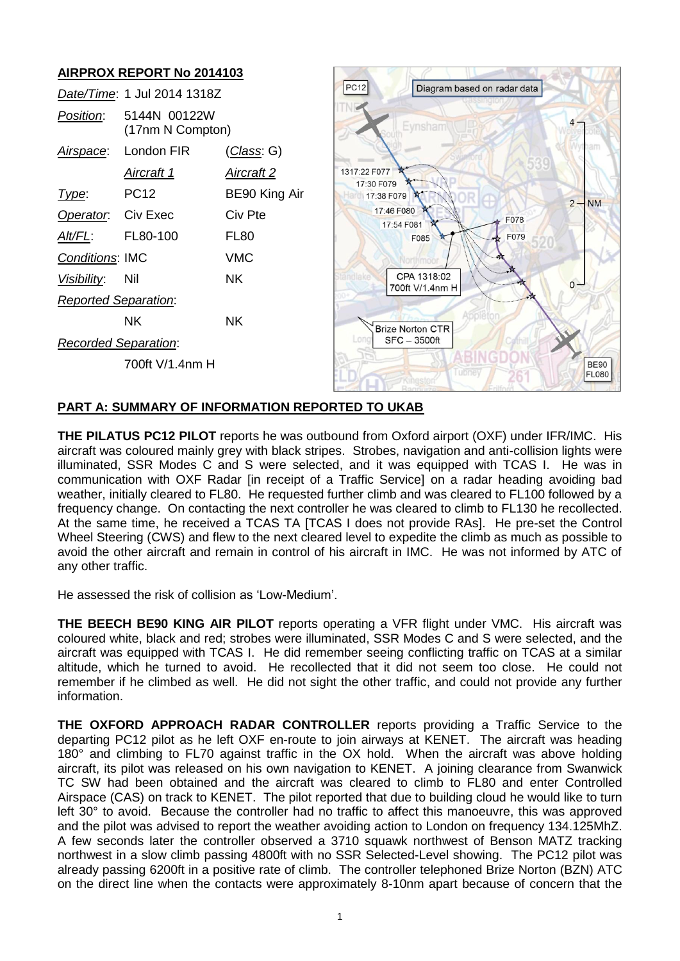# **AIRPROX REPORT No 2014103**

|                                                        | Date/Time: 1 Jul 2014 1318Z      |                   | <b>PC12</b>                       |  |
|--------------------------------------------------------|----------------------------------|-------------------|-----------------------------------|--|
| Position:                                              | 5144N 00122W<br>(17nm N Compton) |                   |                                   |  |
| Airspace:                                              | London FIR                       | (Class: G)        |                                   |  |
|                                                        | Aircraft 1                       | <u>Aircraft 2</u> | 1317:22 F077                      |  |
| Type:                                                  | PC12                             | BE90 King Air     | 17:30 F079<br>17:38 F079          |  |
| Operator. Civ Exec                                     |                                  | Civ Pte           | 17:46 F080<br>17:54 F08           |  |
| Alt/FL:                                                | FL80-100                         | FL80              | F                                 |  |
| <b>Conditions: IMC</b>                                 |                                  | <b>VMC</b>        |                                   |  |
| Visibility:                                            | Nil                              | NK.               | <b>CPA</b><br>tandlake<br>700ft \ |  |
| <b>Reported Separation:</b>                            |                                  |                   |                                   |  |
|                                                        | NK.                              | <b>NK</b>         | <b>Brize Nort</b>                 |  |
| $SFC - 3$<br><b>LOD</b><br><b>Recorded Separation:</b> |                                  |                   |                                   |  |
|                                                        | 700ft V/1.4nm H                  |                   |                                   |  |
|                                                        |                                  |                   |                                   |  |



## **PART A: SUMMARY OF INFORMATION REPORTED TO UKAB**

**THE PILATUS PC12 PILOT** reports he was outbound from Oxford airport (OXF) under IFR/IMC. His aircraft was coloured mainly grey with black stripes. Strobes, navigation and anti-collision lights were illuminated, SSR Modes C and S were selected, and it was equipped with TCAS I. He was in communication with OXF Radar [in receipt of a Traffic Service] on a radar heading avoiding bad weather, initially cleared to FL80. He requested further climb and was cleared to FL100 followed by a frequency change. On contacting the next controller he was cleared to climb to FL130 he recollected. At the same time, he received a TCAS TA [TCAS I does not provide RAs]. He pre-set the Control Wheel Steering (CWS) and flew to the next cleared level to expedite the climb as much as possible to avoid the other aircraft and remain in control of his aircraft in IMC. He was not informed by ATC of any other traffic.

He assessed the risk of collision as 'Low-Medium'.

**THE BEECH BE90 KING AIR PILOT** reports operating a VFR flight under VMC. His aircraft was coloured white, black and red; strobes were illuminated, SSR Modes C and S were selected, and the aircraft was equipped with TCAS I. He did remember seeing conflicting traffic on TCAS at a similar altitude, which he turned to avoid. He recollected that it did not seem too close. He could not remember if he climbed as well. He did not sight the other traffic, and could not provide any further information.

**THE OXFORD APPROACH RADAR CONTROLLER** reports providing a Traffic Service to the departing PC12 pilot as he left OXF en-route to join airways at KENET. The aircraft was heading 180° and climbing to FL70 against traffic in the OX hold. When the aircraft was above holding aircraft, its pilot was released on his own navigation to KENET. A joining clearance from Swanwick TC SW had been obtained and the aircraft was cleared to climb to FL80 and enter Controlled Airspace (CAS) on track to KENET. The pilot reported that due to building cloud he would like to turn left 30° to avoid. Because the controller had no traffic to affect this manoeuvre, this was approved and the pilot was advised to report the weather avoiding action to London on frequency 134.125MhZ. A few seconds later the controller observed a 3710 squawk northwest of Benson MATZ tracking northwest in a slow climb passing 4800ft with no SSR Selected-Level showing. The PC12 pilot was already passing 6200ft in a positive rate of climb. The controller telephoned Brize Norton (BZN) ATC on the direct line when the contacts were approximately 8-10nm apart because of concern that the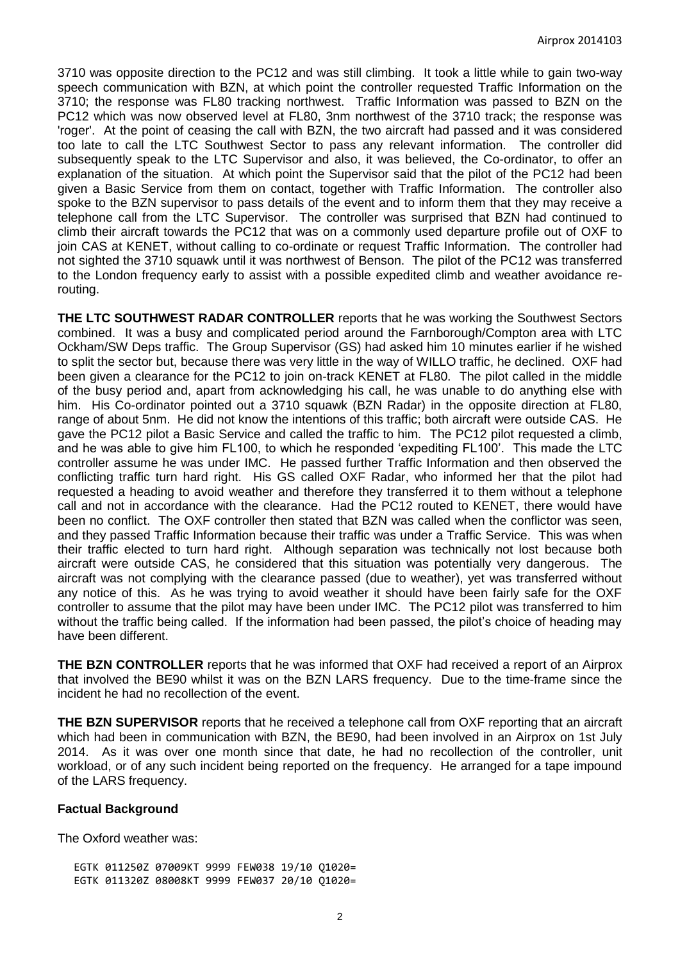3710 was opposite direction to the PC12 and was still climbing. It took a little while to gain two-way speech communication with BZN, at which point the controller requested Traffic Information on the 3710; the response was FL80 tracking northwest. Traffic Information was passed to BZN on the PC12 which was now observed level at FL80, 3nm northwest of the 3710 track; the response was 'roger'. At the point of ceasing the call with BZN, the two aircraft had passed and it was considered too late to call the LTC Southwest Sector to pass any relevant information. The controller did subsequently speak to the LTC Supervisor and also, it was believed, the Co-ordinator, to offer an explanation of the situation. At which point the Supervisor said that the pilot of the PC12 had been given a Basic Service from them on contact, together with Traffic Information. The controller also spoke to the BZN supervisor to pass details of the event and to inform them that they may receive a telephone call from the LTC Supervisor. The controller was surprised that BZN had continued to climb their aircraft towards the PC12 that was on a commonly used departure profile out of OXF to join CAS at KENET, without calling to co-ordinate or request Traffic Information. The controller had not sighted the 3710 squawk until it was northwest of Benson. The pilot of the PC12 was transferred to the London frequency early to assist with a possible expedited climb and weather avoidance rerouting.

**THE LTC SOUTHWEST RADAR CONTROLLER** reports that he was working the Southwest Sectors combined. It was a busy and complicated period around the Farnborough/Compton area with LTC Ockham/SW Deps traffic. The Group Supervisor (GS) had asked him 10 minutes earlier if he wished to split the sector but, because there was very little in the way of WILLO traffic, he declined. OXF had been given a clearance for the PC12 to join on-track KENET at FL80. The pilot called in the middle of the busy period and, apart from acknowledging his call, he was unable to do anything else with him. His Co-ordinator pointed out a 3710 squawk (BZN Radar) in the opposite direction at FL80, range of about 5nm. He did not know the intentions of this traffic; both aircraft were outside CAS. He gave the PC12 pilot a Basic Service and called the traffic to him. The PC12 pilot requested a climb, and he was able to give him FL100, to which he responded 'expediting FL100'. This made the LTC controller assume he was under IMC. He passed further Traffic Information and then observed the conflicting traffic turn hard right. His GS called OXF Radar, who informed her that the pilot had requested a heading to avoid weather and therefore they transferred it to them without a telephone call and not in accordance with the clearance. Had the PC12 routed to KENET, there would have been no conflict. The OXF controller then stated that BZN was called when the conflictor was seen, and they passed Traffic Information because their traffic was under a Traffic Service. This was when their traffic elected to turn hard right. Although separation was technically not lost because both aircraft were outside CAS, he considered that this situation was potentially very dangerous. The aircraft was not complying with the clearance passed (due to weather), yet was transferred without any notice of this. As he was trying to avoid weather it should have been fairly safe for the OXF controller to assume that the pilot may have been under IMC. The PC12 pilot was transferred to him without the traffic being called. If the information had been passed, the pilot's choice of heading may have been different.

**THE BZN CONTROLLER** reports that he was informed that OXF had received a report of an Airprox that involved the BE90 whilst it was on the BZN LARS frequency. Due to the time-frame since the incident he had no recollection of the event.

**THE BZN SUPERVISOR** reports that he received a telephone call from OXF reporting that an aircraft which had been in communication with BZN, the BE90, had been involved in an Airprox on 1st July 2014. As it was over one month since that date, he had no recollection of the controller, unit workload, or of any such incident being reported on the frequency. He arranged for a tape impound of the LARS frequency.

#### **Factual Background**

The Oxford weather was:

EGTK 011250Z 07009KT 9999 FEW038 19/10 Q1020= EGTK 011320Z 08008KT 9999 FEW037 20/10 Q1020=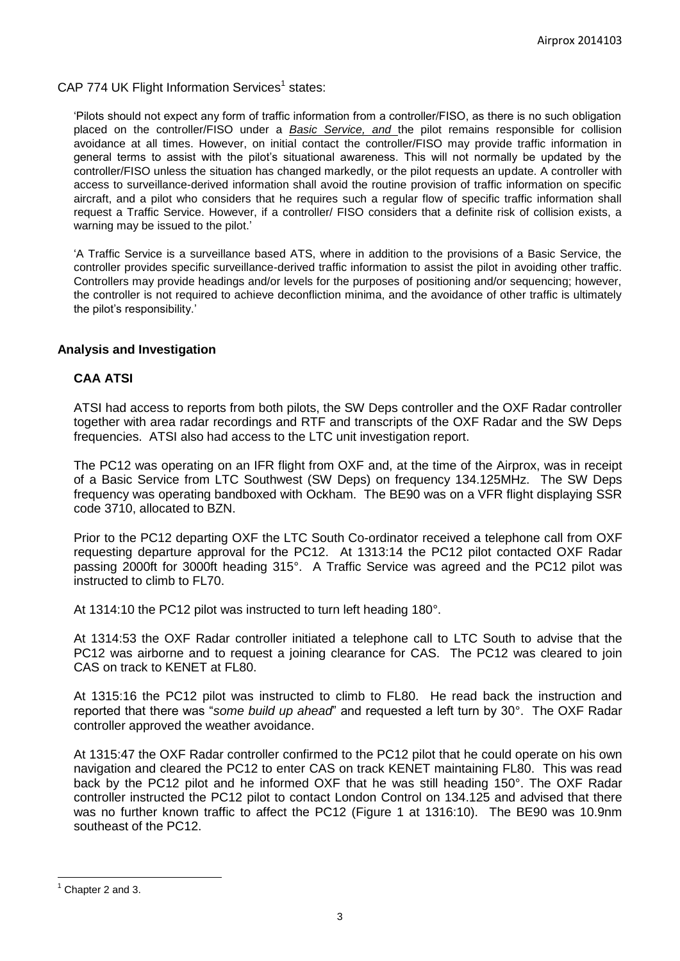CAP 774 UK Flight Information Services<sup>1</sup> states:

'Pilots should not expect any form of traffic information from a controller/FISO, as there is no such obligation placed on the controller/FISO under a *Basic Service, and* the pilot remains responsible for collision avoidance at all times. However, on initial contact the controller/FISO may provide traffic information in general terms to assist with the pilot's situational awareness. This will not normally be updated by the controller/FISO unless the situation has changed markedly, or the pilot requests an update. A controller with access to surveillance-derived information shall avoid the routine provision of traffic information on specific aircraft, and a pilot who considers that he requires such a regular flow of specific traffic information shall request a Traffic Service. However, if a controller/ FISO considers that a definite risk of collision exists, a warning may be issued to the pilot.'

'A Traffic Service is a surveillance based ATS, where in addition to the provisions of a Basic Service, the controller provides specific surveillance-derived traffic information to assist the pilot in avoiding other traffic. Controllers may provide headings and/or levels for the purposes of positioning and/or sequencing; however, the controller is not required to achieve deconfliction minima, and the avoidance of other traffic is ultimately the pilot's responsibility.'

#### **Analysis and Investigation**

### **CAA ATSI**

ATSI had access to reports from both pilots, the SW Deps controller and the OXF Radar controller together with area radar recordings and RTF and transcripts of the OXF Radar and the SW Deps frequencies. ATSI also had access to the LTC unit investigation report.

The PC12 was operating on an IFR flight from OXF and, at the time of the Airprox, was in receipt of a Basic Service from LTC Southwest (SW Deps) on frequency 134.125MHz. The SW Deps frequency was operating bandboxed with Ockham. The BE90 was on a VFR flight displaying SSR code 3710, allocated to BZN.

Prior to the PC12 departing OXF the LTC South Co-ordinator received a telephone call from OXF requesting departure approval for the PC12. At 1313:14 the PC12 pilot contacted OXF Radar passing 2000ft for 3000ft heading 315°. A Traffic Service was agreed and the PC12 pilot was instructed to climb to FL70.

At 1314:10 the PC12 pilot was instructed to turn left heading 180°.

At 1314:53 the OXF Radar controller initiated a telephone call to LTC South to advise that the PC12 was airborne and to request a joining clearance for CAS. The PC12 was cleared to join CAS on track to KENET at FL80.

At 1315:16 the PC12 pilot was instructed to climb to FL80. He read back the instruction and reported that there was "*some build up ahead*" and requested a left turn by 30°. The OXF Radar controller approved the weather avoidance.

At 1315:47 the OXF Radar controller confirmed to the PC12 pilot that he could operate on his own navigation and cleared the PC12 to enter CAS on track KENET maintaining FL80. This was read back by the PC12 pilot and he informed OXF that he was still heading 150°. The OXF Radar controller instructed the PC12 pilot to contact London Control on 134.125 and advised that there was no further known traffic to affect the PC12 (Figure 1 at 1316:10). The BE90 was 10.9nm southeast of the PC12.

 $\overline{a}$ 

Chapter 2 and 3.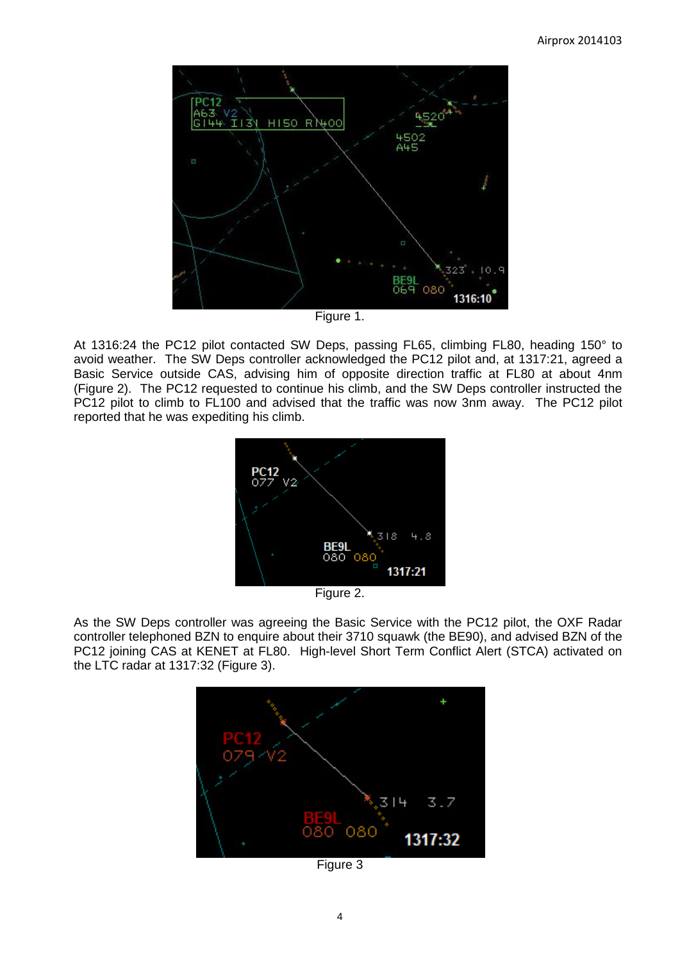

Figure 1.

At 1316:24 the PC12 pilot contacted SW Deps, passing FL65, climbing FL80, heading 150° to avoid weather. The SW Deps controller acknowledged the PC12 pilot and, at 1317:21, agreed a Basic Service outside CAS, advising him of opposite direction traffic at FL80 at about 4nm (Figure 2). The PC12 requested to continue his climb, and the SW Deps controller instructed the PC12 pilot to climb to FL100 and advised that the traffic was now 3nm away. The PC12 pilot reported that he was expediting his climb.



Figure 2.

As the SW Deps controller was agreeing the Basic Service with the PC12 pilot, the OXF Radar controller telephoned BZN to enquire about their 3710 squawk (the BE90), and advised BZN of the PC12 joining CAS at KENET at FL80. High-level Short Term Conflict Alert (STCA) activated on the LTC radar at 1317:32 (Figure 3).



Figure 3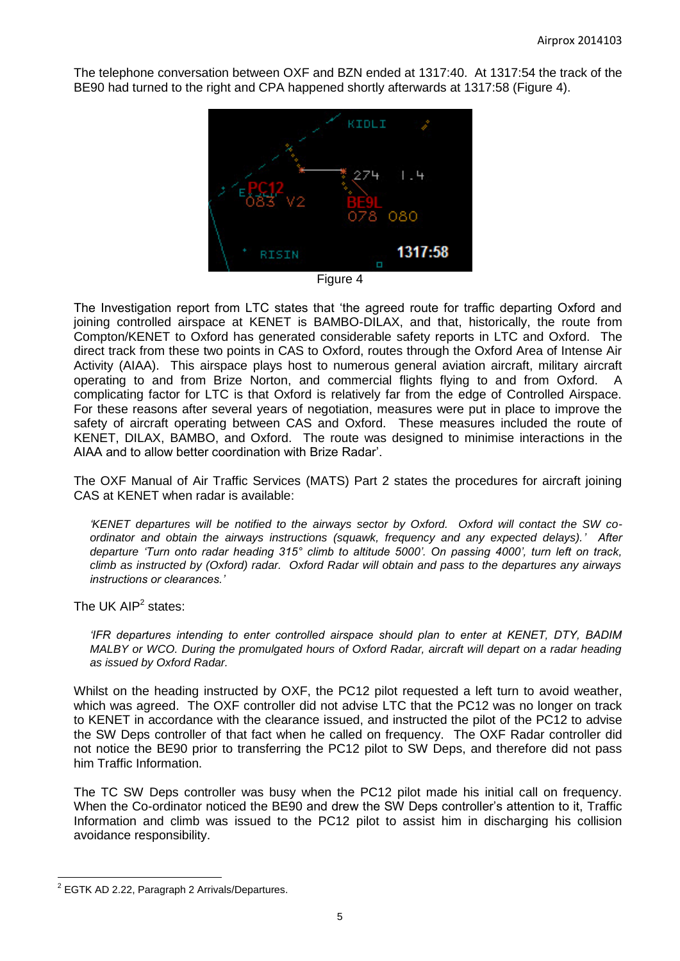The telephone conversation between OXF and BZN ended at 1317:40. At 1317:54 the track of the BE90 had turned to the right and CPA happened shortly afterwards at 1317:58 (Figure 4).



Figure 4

The Investigation report from LTC states that 'the agreed route for traffic departing Oxford and joining controlled airspace at KENET is BAMBO-DILAX, and that, historically, the route from Compton/KENET to Oxford has generated considerable safety reports in LTC and Oxford. The direct track from these two points in CAS to Oxford, routes through the Oxford Area of Intense Air Activity (AIAA). This airspace plays host to numerous general aviation aircraft, military aircraft operating to and from Brize Norton, and commercial flights flying to and from Oxford. A complicating factor for LTC is that Oxford is relatively far from the edge of Controlled Airspace. For these reasons after several years of negotiation, measures were put in place to improve the safety of aircraft operating between CAS and Oxford. These measures included the route of KENET, DILAX, BAMBO, and Oxford. The route was designed to minimise interactions in the AIAA and to allow better coordination with Brize Radar'.

The OXF Manual of Air Traffic Services (MATS) Part 2 states the procedures for aircraft joining CAS at KENET when radar is available:

*'KENET departures will be notified to the airways sector by Oxford. Oxford will contact the SW coordinator and obtain the airways instructions (squawk, frequency and any expected delays).' After departure 'Turn onto radar heading 315° climb to altitude 5000'. On passing 4000', turn left on track, climb as instructed by (Oxford) radar. Oxford Radar will obtain and pass to the departures any airways instructions or clearances.'* 

The UK AIP $2$  states:

*'IFR departures intending to enter controlled airspace should plan to enter at KENET, DTY, BADIM MALBY or WCO. During the promulgated hours of Oxford Radar, aircraft will depart on a radar heading as issued by Oxford Radar.* 

Whilst on the heading instructed by OXF, the PC12 pilot requested a left turn to avoid weather, which was agreed. The OXF controller did not advise LTC that the PC12 was no longer on track to KENET in accordance with the clearance issued, and instructed the pilot of the PC12 to advise the SW Deps controller of that fact when he called on frequency. The OXF Radar controller did not notice the BE90 prior to transferring the PC12 pilot to SW Deps, and therefore did not pass him Traffic Information.

The TC SW Deps controller was busy when the PC12 pilot made his initial call on frequency. When the Co-ordinator noticed the BE90 and drew the SW Deps controller's attention to it, Traffic Information and climb was issued to the PC12 pilot to assist him in discharging his collision avoidance responsibility.

 $\overline{a}$  $2$  EGTK AD 2.22, Paragraph 2 Arrivals/Departures.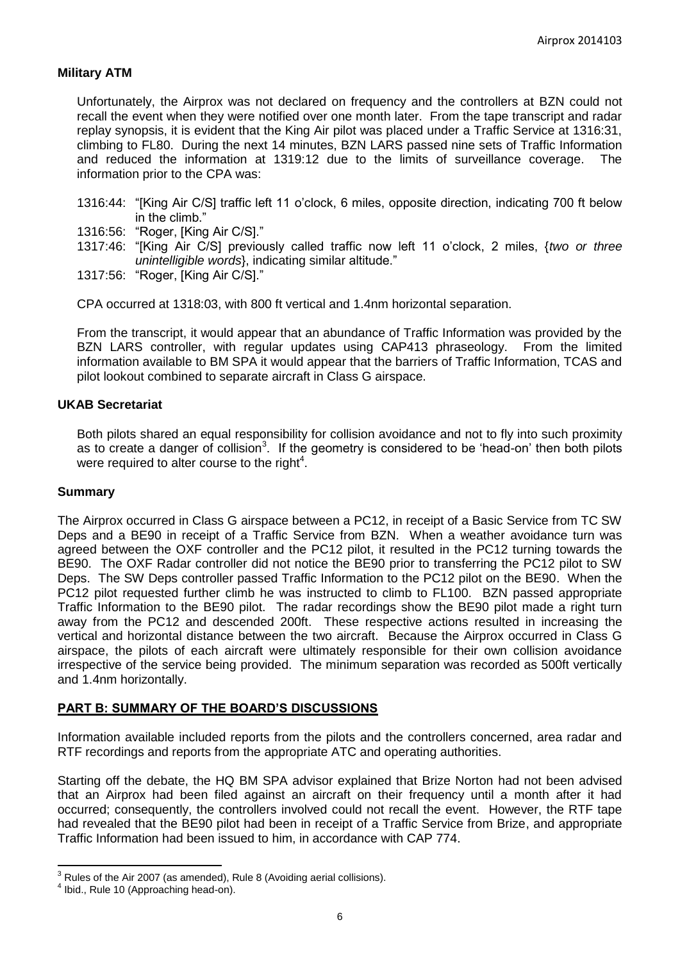## **Military ATM**

Unfortunately, the Airprox was not declared on frequency and the controllers at BZN could not recall the event when they were notified over one month later. From the tape transcript and radar replay synopsis, it is evident that the King Air pilot was placed under a Traffic Service at 1316:31, climbing to FL80. During the next 14 minutes, BZN LARS passed nine sets of Traffic Information and reduced the information at 1319:12 due to the limits of surveillance coverage. The information prior to the CPA was:

- 1316:44: "[King Air C/S] traffic left 11 o'clock, 6 miles, opposite direction, indicating 700 ft below in the climb."
- 1316:56: "Roger, [King Air C/S]."
- 1317:46: "[King Air C/S] previously called traffic now left 11 o'clock, 2 miles, {*two or three unintelligible words*}, indicating similar altitude."
- 1317:56: "Roger, [King Air C/S]."

CPA occurred at 1318:03, with 800 ft vertical and 1.4nm horizontal separation.

From the transcript, it would appear that an abundance of Traffic Information was provided by the BZN LARS controller, with regular updates using CAP413 phraseology. From the limited information available to BM SPA it would appear that the barriers of Traffic Information, TCAS and pilot lookout combined to separate aircraft in Class G airspace.

## **UKAB Secretariat**

Both pilots shared an equal responsibility for collision avoidance and not to fly into such proximity as to create a danger of collision<sup>3</sup>. If the geometry is considered to be 'head-on' then both pilots were required to alter course to the right $4$ .

#### **Summary**

The Airprox occurred in Class G airspace between a PC12, in receipt of a Basic Service from TC SW Deps and a BE90 in receipt of a Traffic Service from BZN. When a weather avoidance turn was agreed between the OXF controller and the PC12 pilot, it resulted in the PC12 turning towards the BE90. The OXF Radar controller did not notice the BE90 prior to transferring the PC12 pilot to SW Deps. The SW Deps controller passed Traffic Information to the PC12 pilot on the BE90. When the PC12 pilot requested further climb he was instructed to climb to FL100. BZN passed appropriate Traffic Information to the BE90 pilot. The radar recordings show the BE90 pilot made a right turn away from the PC12 and descended 200ft. These respective actions resulted in increasing the vertical and horizontal distance between the two aircraft. Because the Airprox occurred in Class G airspace, the pilots of each aircraft were ultimately responsible for their own collision avoidance irrespective of the service being provided. The minimum separation was recorded as 500ft vertically and 1.4nm horizontally.

#### **PART B: SUMMARY OF THE BOARD'S DISCUSSIONS**

Information available included reports from the pilots and the controllers concerned, area radar and RTF recordings and reports from the appropriate ATC and operating authorities.

Starting off the debate, the HQ BM SPA advisor explained that Brize Norton had not been advised that an Airprox had been filed against an aircraft on their frequency until a month after it had occurred; consequently, the controllers involved could not recall the event. However, the RTF tape had revealed that the BE90 pilot had been in receipt of a Traffic Service from Brize, and appropriate Traffic Information had been issued to him, in accordance with CAP 774.

 $\overline{\phantom{a}}$ 

 $3$  Rules of the Air 2007 (as amended), Rule 8 (Avoiding aerial collisions).

<sup>4</sup> Ibid., Rule 10 (Approaching head-on).